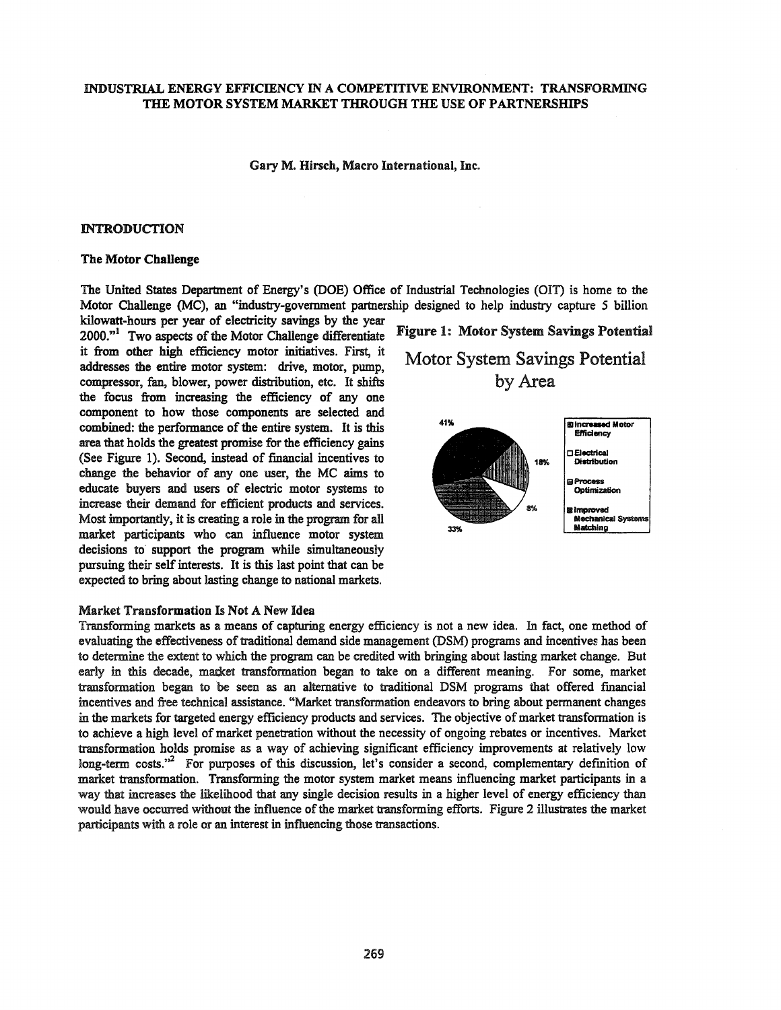## INDUSTRIAL ENERGY EFFICIENCY IN A COMPETITIVE ENVIRONMENT: TRANSFORMING THE MOTOR SYSTEM MARKET THROUGH THE USE OF PARTNERSHIPS

#### Gary M. Hirsch, Macro International, Inc.

#### INTRODUCTION

#### The Motor Challenge

The United States Department of Energy's (DOE) Office of Industrial Technologies (OIT) is home to the Motor Challenge (MC), an "industry-government partnership designed to help industry capture 5 billion kilowatt-hours per year of electricity savings by the year

2000."<sup>1</sup> Two aspects of the Motor Challenge differentiate Figure 1: Motor System Savings Potential it from other high efficiency motor initiatives. First, it addresses the entire motor system: drive, motor, pump, compressor, fan, blower, power distribution, etc. It shifts the focus from increasing the efficiency of anyone component to how those components are selected and combined: the performance of the entire system. It is this area that holds the greatest promise for the efficiency gains (See Figure 1). Second, instead of financial incentives to change the behavior of anyone user, the MC aims to educate buyers and users of electric motor systems to increase their demand for efficient products and services. Most importantly, it is creating a role in the program for all market participants who can influence motor system decisions to support the program while simultaneously pursuing their self interests. It is this last point that can be expected to bring about lasting change to national markets.

#### Market Transformation Is Not A New Idea

Transforming markets as a means of capturing energy efficiency is not a new idea. In fact, one method of evaluating the effectiveness of traditional demand side management (DSM) programs and incentives has been to determine the extent to which the program can be credited with bringing about lasting market change. But early in this decade, market transformation began to take on a different meaning. For some, market transformation began to be seen as an alternative to traditional DSM programs that offered fmancial incentives and free technical assistance. "Market transformation endeavors to bring about permanent changes in the markets for targeted energy efficiency products and services. The objective of market transformation is to achieve a high level of market penetration without the necessity of ongoing rebates or incentives. Market transformation holds promise as a way of achieving significant efficiency improvements at relatively low long-term costs."<sup>2</sup> For purposes of this discussion, let's consider a second, complementary definition of market transformation. Transforming the motor system market means influencing market participants in a way that increases the likelihood that any single decision results in a higher level of energy efficiency than would have occurred without the influence of the market transforming efforts. Figure 2 illustrates the market participants with a role or an interest in influencing those transactions.

Motor System Savings Potential by Area

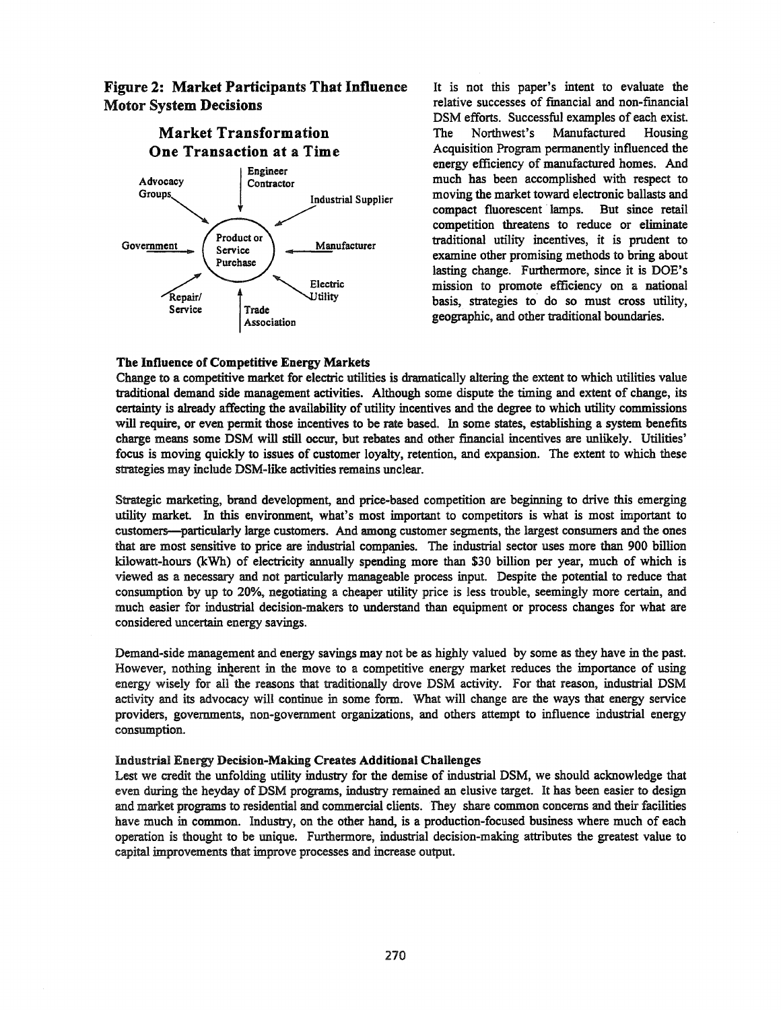# Figure 2: Market Participants **That** Influence Motor System Decisions



It is not this paper's intent to evaluate the relative successes of fmancial and non-financial DSM efforts. Successful examples of each exist. The Northwest's Manufactured Housing Acquisition Program pennanently influenced the energy efficiency of manufactured homes. And much has been accomplished with respect to moving the market toward electronic ballasts and compact fluorescent lamps. But since retail competition threatens to reduce or eliminate traditional utility incentives, it is prudent to examine other promising methods to bring about lasting change. Furthennore, since it is DOE's mission to promote efficiency on a national basis, strategies to do so must cross utility, geographic, and other traditional boundaries.

## The Influence of Competitive Energy Markets

Change to a competitive market for electric utilities is dramatically altering the extent to which utilities value traditional demand side management activities. Although some dispute the timing and extent of change, its certainty is already affecting the availability of utility incentives and the degree to which utility commissions will require, or even pennit those incentives to be rate based. In some states, establishing a system benefits charge means some DSM will still occur, but rebates and other financial incentives are unlikely. Utilities' focus is moving quickly to issues of customer loyalty, retention, and expansion. The extent to which these strategies may include DSM-like activities remains unclear.

Strategic marketing, brand development, and price-based competition are beginning to drive this emerging utility market. In this environment, what's most important to competitors is what is most important to customers-particularly large customers. And among customer segments, the largest consumers and the ones that are most sensitive to price are industrial companies. The industrial sector uses more than 900 billion kilowatt-hours (kWh) of electricity annually spending more than \$30 billion per year, much of which is viewed as a necessary and not particularly manageable process input. Despite the potential to reduce that consumption by up to 20%, negotiating a cheaper utility price is less trouble, seemingly more certain, and much easier for industrial decision-makers to understand than equipment or process changes for what are considered uncertain energy savings.

Demand-side management and energy savings may not be as highly valued by some as they have in the past. However, nothing inherent in the move to a competitive energy market reduces the importance of using energy wisely for all the reasons that traditionally drove DSM activity. For that reason, industrial DSM activity and its advocacy will continue in some form. What will change are the ways that energy service providers, governments, non-government organizations, and others attempt to influence industrial energy consumption.

## Industrial Energy Decision-Making Creates Additional Challenges

Lest we credit the unfolding utility industry for the demise of industrial DSM, we should acknowledge that even during the heyday of DSM programs, industry remained an elusive target. It has been easier to design and market programs to residential and commercial clients. They share common concerns and their facilities have much in common. Industry, on the other hand, is a production-focused business where much of each operation is thought to be unique. Furthermore, industrial decision-making attributes the greatest value to capital improvements that improve processes and increase output.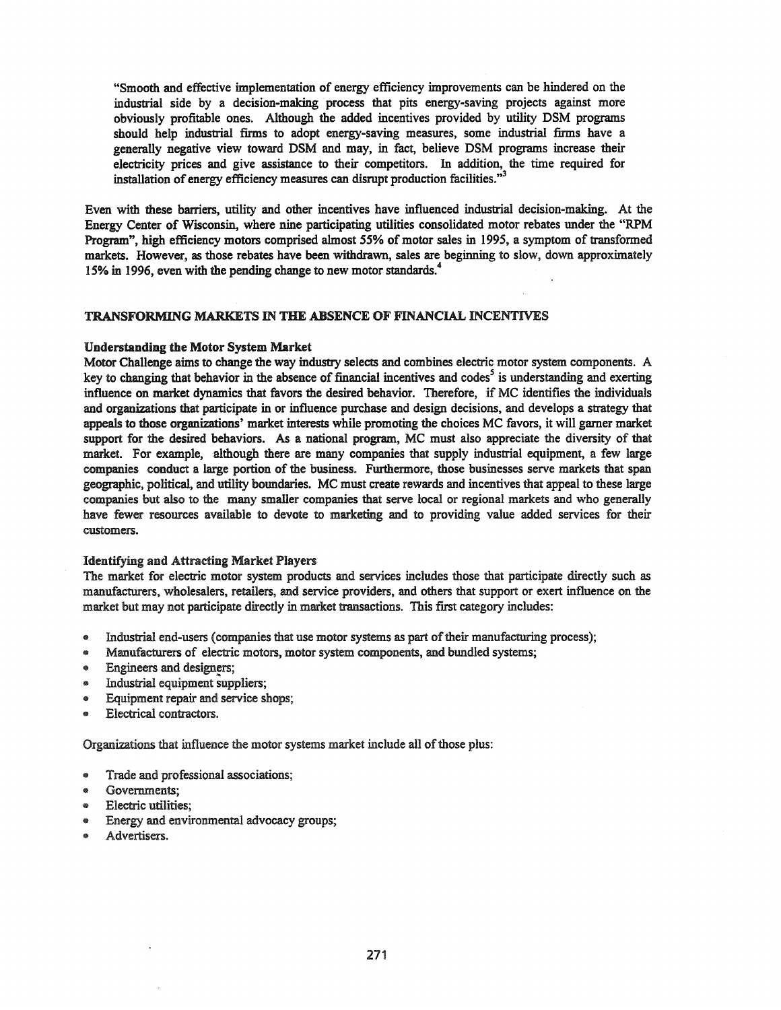"Smooth and effective implementation of energy efficiency improvements can be hindered on the industrial side by a decision-making process that pits energy-saving projects against more obviously profitable ones. Although the added incentives provided by utility DSM programs should help industrial firms to adopt energy-saving measures, some industrial firms have a generally negative view toward DSM and may, in fact, believe DSM programs increase their electricity prices and give assistance to their competitors. In addition, the time required for installation of energy efficiency measures can disrupt production facilities."<sup>3</sup>

Even with these barriers, utility and other incentives have influenced industrial decision-making. At the Energy Center of Wisconsin, where nine participating utilities consolidated motor rebates under the "RPM Program", high efficiency motors comprised almost 55% of motor sales in 1995, a symptom of transformed markets. However, as those rebates have been withdrawn, sales are beginning to slow, down approximately 15% in 1996, even with the pending change to new motor standards.<sup>4</sup>

## TRANSFORMING MARKETS IN THE ABSENCE OF FINANCIAL INCENTIVES

#### Understanding the Motor System Market

Motor Challenge aims to change the way industry selects and combines electric motor system components. A key to changing that behavior in the absence of financial incentives and codes<sup>5</sup> is understanding and exerting influence on market dynamics that favors the desired behavior. Therefore, if MC identifies the individuals and organizations that participate in or influence purchase and design decisions, and develops a strategy that appeals to those organizations' market interests while promoting the choices MC favors, it will garner market support for the desired behaviors. As a national program, MC must also appreciate the diversity of that market. For example, although there are many companies that supply industrial equipment, a few large companies conduct a large portion of the business. Furthermore, those businesses serve markets that span geographic, political, and utility boundaries. MC must create rewards and incentives that appeal to these large companies but also to the many smaller companies that serve local or regional markets and who generally have fewer resources available to devote to marketing and to providing value added services for their customers.

#### Identifying and Attracting Market Players

The market for electric motor system products and services includes those that participate directly such as manufacturers, wholesalers, retailers, and service providers, and others that support or exert influence on the market but may not participate directly in market transactions. This first category includes:

- Industrial end-users (companies that use motor systems as part of their manufacturing process);
- Manufacturers of electric motors, motor system components, and bundled systems;
- Engineers and designers;
- Industrial equipment suppliers;
- Equipment repair and service shops;
- Electrical contractors.

Organizations that influence the motor systems market include all of those plus:

- Trade and professional associations;
- Governments;
- Electric utilities;
- Energy and environmental advocacy groups;
- Advertisers.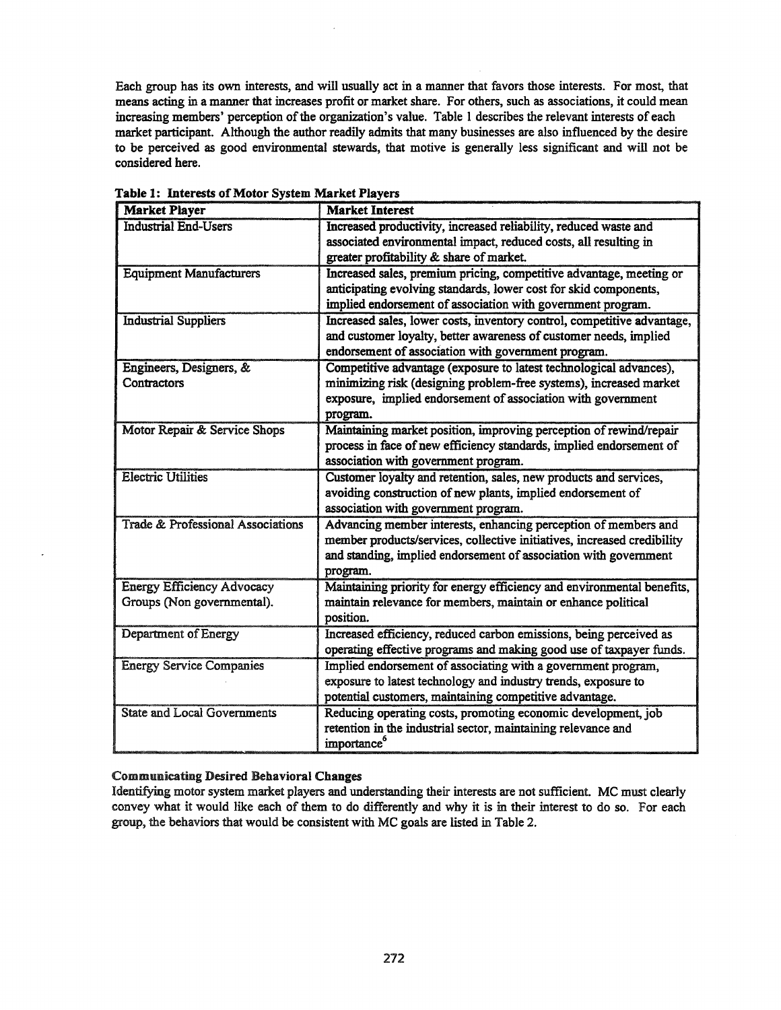Each group has its own interests, and will usually act in a manner that favors those interests. For most, that means acting in a manner that increases profit or market share. For others, such as associations, it could mean increasing members' perception of the organization's value. Table 1 describes the relevant interests of each market participant. Although the author readily admits that many businesses are also influenced by the desire to be perceived as good environmental stewards, that motive is generally less significant and will not be considered here.

| <b>Market Player</b>                         | <b>Market Interest</b>                                                  |  |  |
|----------------------------------------------|-------------------------------------------------------------------------|--|--|
| <b>Industrial End-Users</b>                  | Increased productivity, increased reliability, reduced waste and        |  |  |
|                                              | associated environmental impact, reduced costs, all resulting in        |  |  |
|                                              | greater profitability & share of market.                                |  |  |
| <b>Equipment Manufacturers</b>               | Increased sales, premium pricing, competitive advantage, meeting or     |  |  |
|                                              | anticipating evolving standards, lower cost for skid components,        |  |  |
|                                              | implied endorsement of association with government program.             |  |  |
| <b>Industrial Suppliers</b>                  | Increased sales, lower costs, inventory control, competitive advantage, |  |  |
|                                              | and customer loyalty, better awareness of customer needs, implied       |  |  |
|                                              | endorsement of association with government program.                     |  |  |
| Engineers, Designers, &                      | Competitive advantage (exposure to latest technological advances),      |  |  |
| Contractors                                  | minimizing risk (designing problem-free systems), increased market      |  |  |
|                                              | exposure, implied endorsement of association with government            |  |  |
|                                              | program.                                                                |  |  |
| Motor Repair & Service Shops                 | Maintaining market position, improving perception of rewind/repair      |  |  |
|                                              | process in face of new efficiency standards, implied endorsement of     |  |  |
|                                              | association with government program.                                    |  |  |
| <b>Electric Utilities</b>                    | Customer loyalty and retention, sales, new products and services,       |  |  |
|                                              | avoiding construction of new plants, implied endorsement of             |  |  |
|                                              | association with government program.                                    |  |  |
| <b>Trade &amp; Professional Associations</b> | Advancing member interests, enhancing perception of members and         |  |  |
|                                              | member products/services, collective initiatives, increased credibility |  |  |
|                                              | and standing, implied endorsement of association with government        |  |  |
|                                              | program.                                                                |  |  |
| <b>Energy Efficiency Advocacy</b>            | Maintaining priority for energy efficiency and environmental benefits,  |  |  |
| Groups (Non governmental).                   | maintain relevance for members, maintain or enhance political           |  |  |
|                                              | position.                                                               |  |  |
| Department of Energy                         | Increased efficiency, reduced carbon emissions, being perceived as      |  |  |
|                                              | operating effective programs and making good use of taxpayer funds.     |  |  |
| <b>Energy Service Companies</b>              | Implied endorsement of associating with a government program,           |  |  |
|                                              | exposure to latest technology and industry trends, exposure to          |  |  |
|                                              | potential customers, maintaining competitive advantage.                 |  |  |
| <b>State and Local Governments</b>           | Reducing operating costs, promoting economic development, job           |  |  |
|                                              | retention in the industrial sector, maintaining relevance and           |  |  |
|                                              | importance <sup>o</sup>                                                 |  |  |

Table 1: Interests of Motor System Market Players

## Communicating Desired Behavioral Changes

Identifying motor system market players and understanding their interests are not sufficient. MC must clearly convey what it would like each of them to do differently and why it is in their interest to do so. For each group, the behaviors that would be consistent with MC goals are listed in Table 2.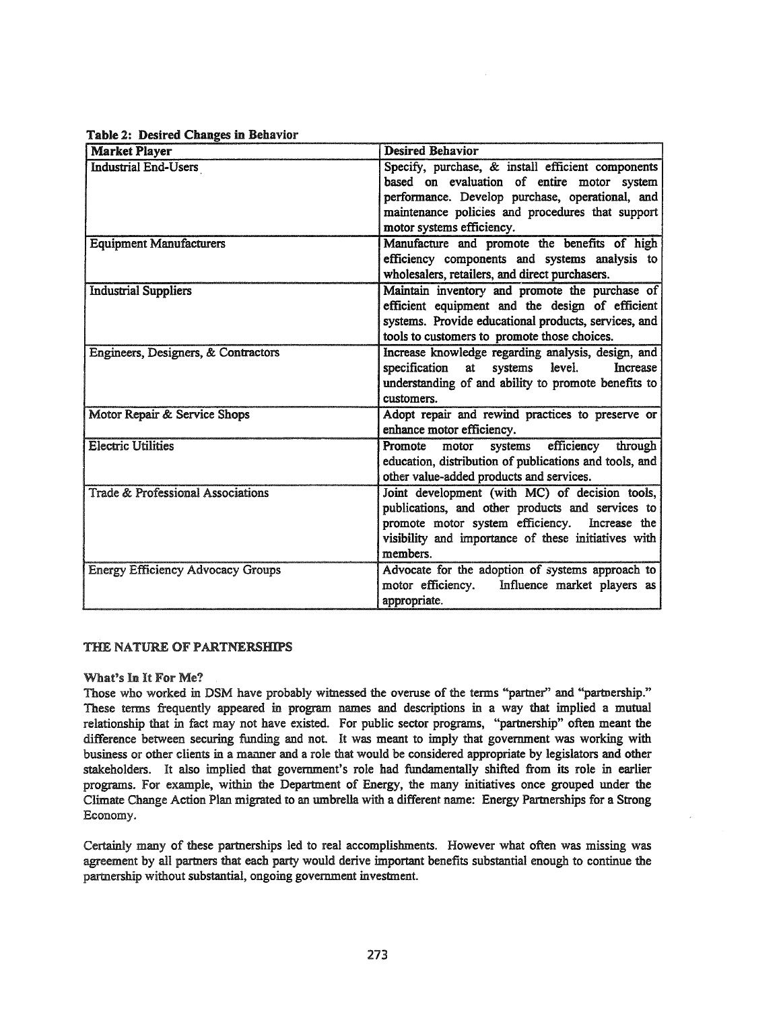| <b>Market Player</b>                         | <b>Desired Behavior</b>                                                                                                                                                                                                |  |  |
|----------------------------------------------|------------------------------------------------------------------------------------------------------------------------------------------------------------------------------------------------------------------------|--|--|
| <b>Industrial End-Users</b>                  | Specify, purchase, & install efficient components<br>based on evaluation of entire motor system                                                                                                                        |  |  |
|                                              | performance. Develop purchase, operational, and                                                                                                                                                                        |  |  |
|                                              | maintenance policies and procedures that support                                                                                                                                                                       |  |  |
|                                              | motor systems efficiency.                                                                                                                                                                                              |  |  |
| <b>Equipment Manufacturers</b>               | Manufacture and promote the benefits of high<br>efficiency components and systems analysis to<br>wholesalers, retailers, and direct purchasers.                                                                        |  |  |
| <b>Industrial Suppliers</b>                  | Maintain inventory and promote the purchase of<br>efficient equipment and the design of efficient<br>systems. Provide educational products, services, and<br>tools to customers to promote those choices.              |  |  |
| Engineers, Designers, & Contractors          | Increase knowledge regarding analysis, design, and<br>specification<br>systems level.<br>at<br>Increase<br>understanding of and ability to promote benefits to<br>customers.                                           |  |  |
| Motor Repair & Service Shops                 | Adopt repair and rewind practices to preserve or<br>enhance motor efficiency.                                                                                                                                          |  |  |
| <b>Electric Utilities</b>                    | systems efficiency through<br>Promote<br>motor<br>education, distribution of publications and tools, and<br>other value-added products and services.                                                                   |  |  |
| <b>Trade &amp; Professional Associations</b> | Joint development (with MC) of decision tools,<br>publications, and other products and services to<br>promote motor system efficiency. Increase the<br>visibility and importance of these initiatives with<br>members. |  |  |
| <b>Energy Efficiency Advocacy Groups</b>     | Advocate for the adoption of systems approach to                                                                                                                                                                       |  |  |

Table 2: Desired Changes in Behavior

## THE NATURE OF PARTNERSHIPS

## What's In It For Me?

Those who worked in DSM have probably witnessed the overuse of the terms "partner" and "partnership." These terms frequently appeared in program names and descriptions in a way that implied a mutual relationship that in fact may not have existed. For public sector programs, "partnership" often meant the difference between securing funding and not. It was meant to imply that government was working with business or other clients in a manner and a role that would be considered appropriate by legislators and other stakeholders. It also implied that government's role had fundamentally shifted from its role in earlier programs. For example, within the Department of Energy, the many initiatives once grouped under the Climate Change Action Plan migrated to an umbrella with a different name: Energy Partnerships for a Strong Economy.

appropriate.

motor efficiency. Influence market players as

Certainly many of these partnerships led to real accomplishments. However what often was missing was agreement by all partners that each party would derive important benefits substantial enough to continue the partnership without substantial, ongoing government investment.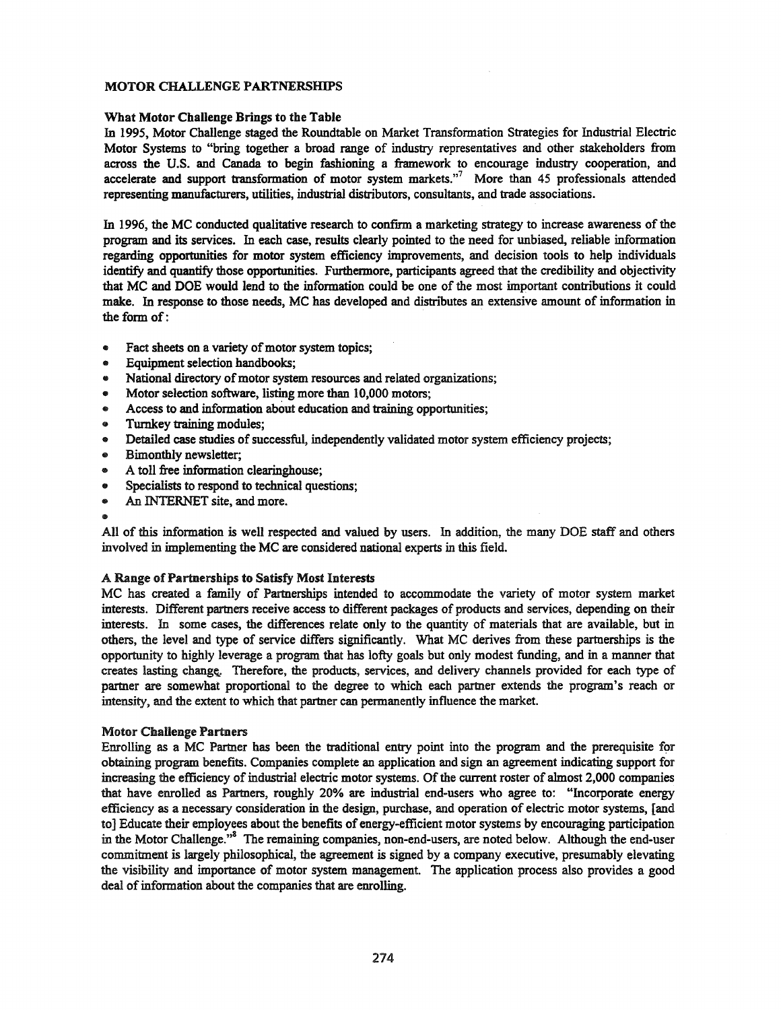## MOTOR CHALLENGE PARTNERSHIPS

## What Motor Challenge Brings to the Table

In 1995, Motor Challenge staged the Roundtable on Market Transformation Strategies for Industrial Electric Motor Systems to "bring together a broad range of industry representatives and other stakeholders from across the U.S. and Canada to begin fashioning a framework to encourage industry cooperation, and accelerate and support transformation of motor system markets. $n^7$  More than 45 professionals attended representing manufacturers, utilities, industrial distributors, consultants, and trade associations.

In 1996, the MC conducted qualitative research to confirm a marketing strategy to increase awareness of the program and its services. In each case, results clearly pointed to the need for unbiased, reliable information regarding opportunities for motor system efficiency improvements, and decision tools to help individuals identify and quantify those opportunities. Furthermore, participants agreed that the credibility and objectivity that MC and DOE would lend to the information could be one of the most important contributions it could make. In response to those needs, MC has developed and distributes an extensive amount of information in the form of:

- Fact sheets on a variety of motor system topics;
- Equipment selection handbooks;
- National directory of motor system resources and related organizations;
- Motor selection software, listing more than 10,000 motors;
- Access to and information about education and training opportunities;
- Turnkey training modules;
- Detailed case studies of successful, independently validated motor system efficiency projects;
- Bimonthly newsletter;
- A toll free information clearinghouse;
- Specialists to respond to technical questions;
- An INTERNET site, and more.
- 

All of this information is well respected and valued by users. In addition, the many DOE staff and others involved in implementing the MC are considered national experts in this field.

## A Range of Partnerships to Satisfy Most Interests

MC has created a family of Partnerships intended to accommodate the variety of motor system market interests. Different partners receive access to different packages of products and services, depending on their interests. In some cases, the differences relate only to the quantity of materials that are available, but in others, the level and type of service differs significantly. What MC derives from these partnerships is the opportunity to highly leverage a program that has lofty goals but only modest funding, and in a manner that creates lasting change. Therefore, the products, services, and delivery channels provided for each type of partner are somewhat proportional to the degree to which each partner extends the program's reach or intensity, and the extent to which that partner can permanently influence the market.

#### Motor Challenge Partners

Enrolling as a MC Partner has been the traditional entry point into the program and the prerequisite for obtaining program benefits. Companies complete an application and sign an agreement indicating support for increasing the efficiency of industrial electric motor systems. Of the current roster of almost 2,000 companies that have enrolled as Partners, roughly 20% are industrial end-users who agree to: "Incorporate energy efficiency as a necessary consideration in the design, purchase, and operation of electric motor systems, [and to] Educate their employees about the benefits of energy-efficient motor systems by encouraging participation in the Motor Challenge."<sup>8</sup> The remaining companies, non-end-users, are noted below. Although the end-user commitment is largely philosophical, the agreement is signed by a company executive, presumably elevating the visibility and importance of motor system management. The application process also provides a good deal of information about the companies that are enrolling.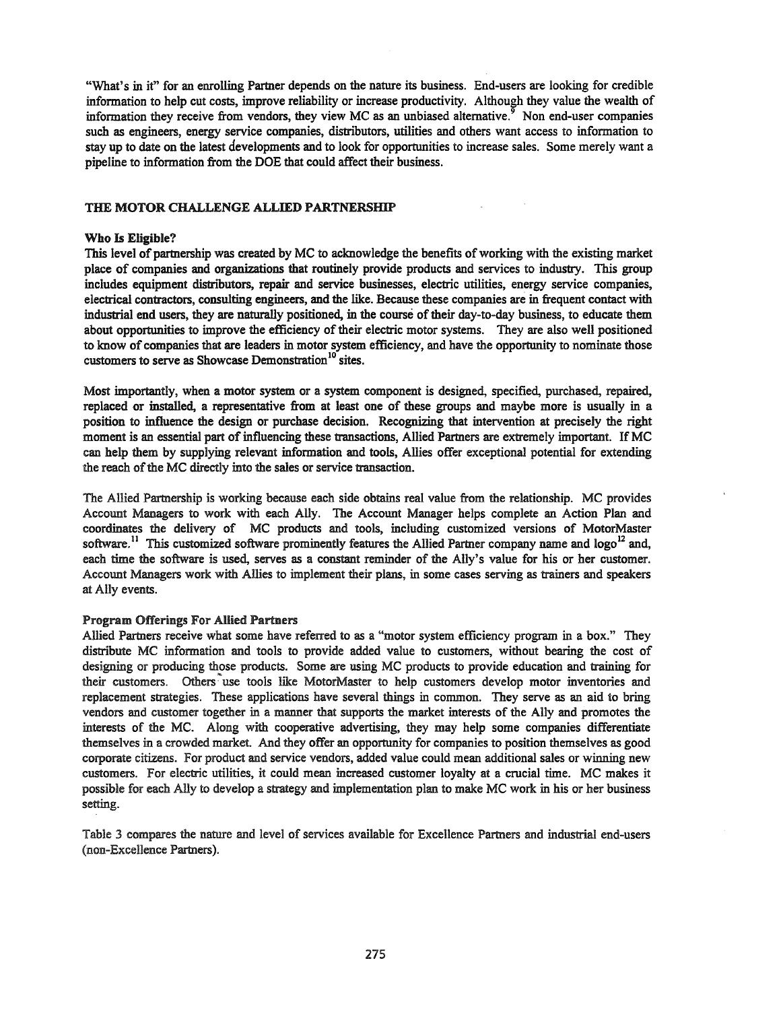"What's in it" for an enrolling Partner depends on the nature its business. End-users are looking for credible information to help cut costs, improve reliability or increase productivity. Although they value the wealth of information they receive from vendors, they view MC as an unbiased alternative.<sup>9</sup> Non end-user companies such as engineers, energy service companies, distributors, utilities and others want access to information to stay up to date on the latest developments and to look for opportunities to increase sales. Some merely want a pipeline to information from the DOE that could affect their business.

## THE MOTOR CHALLENGE ALLIED PARTNERSHIP

#### Who Is Eligible?

This level of partnership was created by MC to acknowledge the benefits of working with the existing market place of companies and organizations that routinely provide products and services to industry. This group includes equipment distributors, repair and service businesses, electric utilities, energy service companies, electrical contractors, consulting engineers, and the like. Because these companies are in frequent contact with industrial end users, they are naturally positioned, in the course of their day-to-day business, to educate them about opportunities to improve the efficiency of their electric motor systems. They are also well positioned to know of companies that are leaders in motor system efficiency, and have the opportunity to nominate those customers to serve as Showcase Demonstration<sup>10</sup> sites.

Most importantly, when a motor system or a system component is designed, specified, purchased, repaired, replaced or installed, a representative from at least one of these groups and maybe more is usually in a position to influence the design or purchase decision. Recognizing that intervention at precisely the right moment is an essential part of influencing these transactions, Allied Partners are extremely important. If MC can help them by supplying relevant information and tools, Allies offer exceptional potential for extending the reach of the MC directly into the sales or service transaction.

The Allied Partnership is working because each side obtains real value from the relationship. MC provides Account Managers to work with each Ally. The Account Manager helps complete an Action Plan and coordinates the delivery of MC products and tools, including customized versions of MotorMaster software.<sup>11</sup> This customized software prominently features the Allied Partner company name and logo<sup>12</sup> and, each time the software is used, serves as a constant reminder of the Ally's value for his or her customer. Account Managers work with Allies to implement their plans, in some cases serving as trainers and speakers at Ally events.

#### Program Offerings For Allied Partners

Allied Partners receive what some have referred to as a "motor system efficiency program in a box." They distribute MC information and tools to provide added value to customers, without bearing the cost of designing or producing those products. Some are using MC products to provide education and training for their customers. Others use tools like MotorMaster to help customers develop motor inventories and replacement strategies. These applications have several things in common. They serve as an aid to bring vendors and customer together in a manner that supports the market interests of the Ally and promotes the interests of the MC. Along with cooperative advertising, they may help some companies differentiate themselves in a crowded market. And they offer an opportunity for companies to position themselves as good corporate citizens. For product and service vendors, added value could mean additional sales or winning new customers. For electric utilities, it could mean increased customer loyalty at a crucial time. MC makes it possible for each Ally to develop a strategy and implementation plan to make MC work in his or her business setting.

Table 3 compares the nature and level of services available for Excellence Partners and industrial end-users (non-Excellence Partners).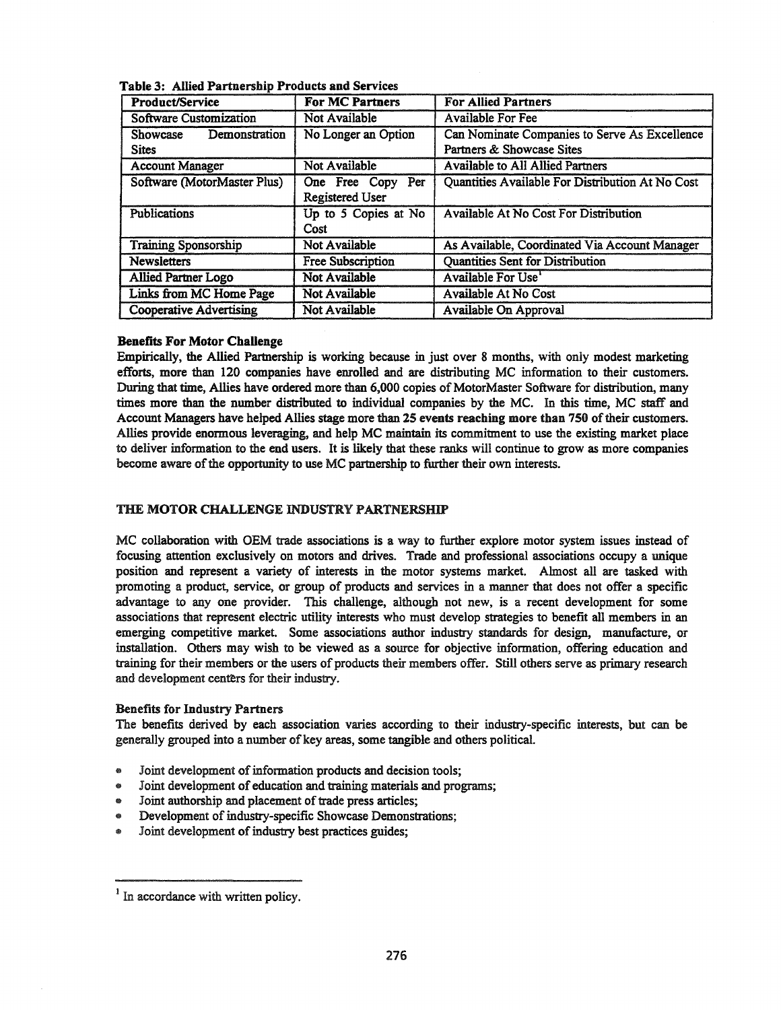| <b>For MC Partners</b><br>Product/Service        |                                      | <b>For Allied Partners</b>                                                 |  |  |
|--------------------------------------------------|--------------------------------------|----------------------------------------------------------------------------|--|--|
| Software Customization                           | Not Available                        | <b>Available For Fee</b>                                                   |  |  |
| Demonstration<br><b>Showcase</b><br><b>Sites</b> | No Longer an Option                  | Can Nominate Companies to Serve As Excellence<br>Partners & Showcase Sites |  |  |
| <b>Account Manager</b>                           | Not Available                        | Available to All Allied Partners                                           |  |  |
| Software (MotorMaster Plus)                      | One Free Copy Per<br>Registered User | Quantities Available For Distribution At No Cost                           |  |  |
| <b>Publications</b>                              | Up to 5 Copies at No<br>Cost         | Available At No Cost For Distribution                                      |  |  |
| <b>Training Sponsorship</b>                      | Not Available                        | As Available, Coordinated Via Account Manager                              |  |  |
| <b>Newsletters</b><br><b>Free Subscription</b>   |                                      | Quantities Sent for Distribution                                           |  |  |
| <b>Allied Partner Logo</b>                       | Not Available                        | Available For Use'                                                         |  |  |
| Not Available<br>Links from MC Home Page         |                                      | Available At No Cost                                                       |  |  |
| <b>Cooperative Advertising</b><br>Not Available  |                                      | Available On Approval                                                      |  |  |

Table 3: Allied Partnersbip Products and Services

## Benefits For Motor Challenge

Empirically, the Allied Partnership is working because in just over 8 months, with only modest marketing efforts, more than 120 companies have enrolled and are distributing MC information to their customers. During that time, Allies have ordered more than 6,000 copies of MotorMaster Software for distribution, many times more than the number distributed to individual companies by the MC. In this time, MC staff and Account Managers have helped Allies stage more than 25 events reaching more than 750 of their customers. Allies provide enormous leveraging, and help MC maintain its commitment to use the existing market place to deliver information to the end users. It is likely that these ranks will continue to grow as more companies become aware of the opportunity to use MC partnership to further their own interests.

## THE MOTOR CHALLENGE INDUSTRY PARTNERSHIP

MC collaboration with OEM trade associations is a way to further explore motor system issues instead of focusing attention exclusively on motors and drives. Trade and professional associations occupy a unique position and represent a variety of interests in the motor systems market. Almost all are tasked with promoting a product, service, or group of products and services in a manner that does not offer a specific advantage to anyone provider. This challenge, although not new, is a recent development for some associations that represent electric utility interests who must develop strategies to benefit all members in an emerging competitive market. Some associations author industry standards for design, manufacture, or installation. Others may wish to be viewed as a source for objective information, offering education and training for their members or the users of products their members offer. Still others serve as primary research and development centers for their industry.

## Benefits for Industry Partners

The benefits derived by each association varies according to their industry-specific interests, but can be generally grouped into a number of key areas, some tangible and others political.

- $\bullet$  Joint development of information products and decision tools;
- Joint development of education and training materials and programs;
- $\bullet$  Joint authorship and placement of trade press articles;
- Development of industry-specific Showcase Demonstrations;
- Joint development of industry best practices guides;

 $<sup>1</sup>$  In accordance with written policy.</sup>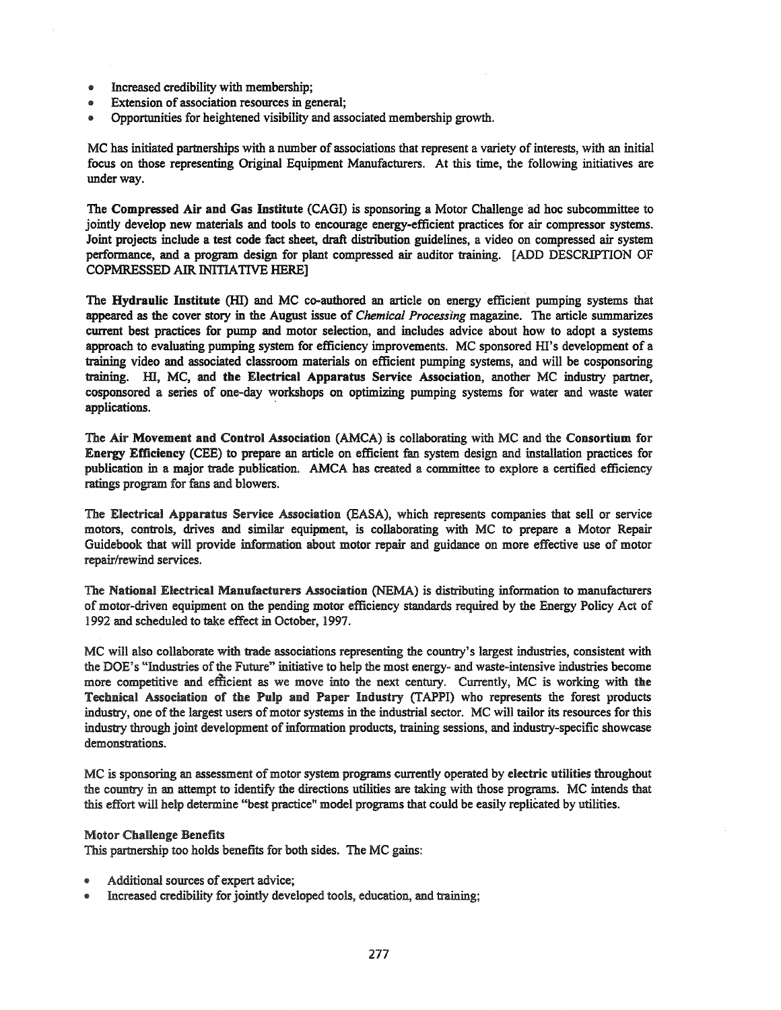- Increased credibility with membership;
- 4& Extension of association resources in general;
- Opportunities for heightened visibility and associated membership growth.

MC has initiated partnerships with a number of associations that represent a variety of interests, with an initial focus on those representing Original Equipment Manufacturers. At this time, the following initiatives are under way.

The Compressed Air and Gas Institute (CAGI) is sponsoring a Motor Challenge ad hoc subcommittee to jointly develop new materials and tools to encourage energy-efficient practices for air compressor systems. Joint projects include a test code fact sheet, draft distribution guidelines, a video on compressed air system performance, and a program design for plant compressed air auditor training. [ADD DESCRIPTION OF COPMRESSED AIR INITIATIVE HERE]

The Hydraulic Institute (HI) and MC co-authored an article on energy efficient pumping systems that appeared as the cover story in the August issue of *Chemical Processing* magazine. The article summarizes current best practices for pump and motor selection, and includes advice about how to adopt a systems approach to evaluating pumping system for efficiency improvements. MC sponsored HI's development of a training video and associated classroom materials on efficient pumping systems, and will be cosponsoring training. HI, MC, and the Electrical Apparatus Service Association, another MC industry partner, cosponsored a series of one-day workshops on optimizing pumping systems for water and waste water applications. .

The Air Movement and Control Association (AMCA) is collaborating with MC and the Consortium for Energy Efficiency (CEE) to prepare an article on efficient fan system design and installation practices for publication in a major trade publication. AMCA has created a committee to explore a certified efficiency ratings program for fans and blowers.

The Electrical Apparatus Service Association (EASA), which represents companies that sell or service motors, controls, drives and similar equipment, is collaborating with MC to prepare a Motor Repair Guidebook that will provide information about motor repair and guidance on more effective use of motor repair/rewind services.

The National Electrical Manufacturers Association (NEMA) is distributing information to manufacturers of motor-driven equipment on the pending motor efficiency standards required by the Energy Policy Act of 1992 and scheduled to take effect in October, 1997.

MC will also collaborate with trade associations representing the country's largest industries, consistent with the DOE's "Industries ofthe Future" initiative to help the most energy- and waste-intensive industries become more competitive and efficient as we move into the next century. Currently, MC is working with the Technical Association of the Pulp and Paper Industry (TAPPI) who represents the forest products industry, one of the largest users of motor systems in the industrial sector. MC will tailor its resources for this industry through joint development of information products, training sessions, and industry-specific showcase demonstrations.

MC is sponsoring an assessment of motor system programs currently operated by electric utilities throughout the country in an attempt to identify the directions utilities are taking with those programs. MC intends that this effort will help determine "best practice" model programs that could be easily replicated by utilities.

#### Motor Challenge Benefits

This partnership too holds benefits for both sides. The MC gains:

- Additional sources of expert advice;
- Increased credibility for jointly developed tools, education, and training;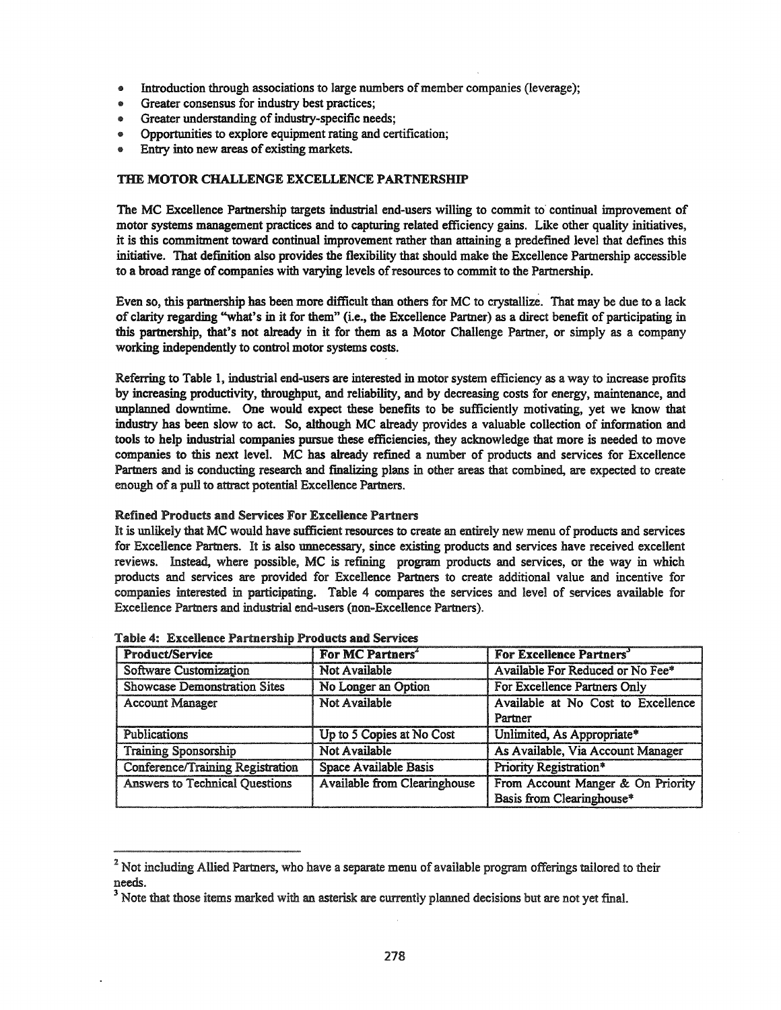- Introduction through associations to large numbers of member companies (leverage);
- Greater consensus for industry best practices;
- Greater understanding of industry-specific needs:
- Opportunities to explore equipment rating and certification;
- Entry into new areas of existing markets.

## THE MOTOR CHALLENGE EXCELLENCE PARTNERSHIP

The MC Excellence Partnership targets industrial end-users wining to commit to continual improvement of motor systems management practices and to capturing related efficiency gains. Like other quality initiatives, it is this commitment toward continual improvement rather than attaining a predefined level that defmes this initiative. That definition also provides the flexibility that should make the Excellence Partnership accessible to a broad range of companies with varying levels ofresources to commit to the Partnership.

Even so, this partnership has been more difficult than others for MC to crystallize. That may be due to a lack of clarity regarding "what's in it for them" (i.e., the Excellence Partner) as a direct benefit of participating in this partnership, that's not already in it for them as a Motor Challenge Partner, or simply as a company working independently to control motor systems costs.

Referring to Table 1, industrial end-users are interested in motor system efficiency as a way to increase profits by increasing productivity, throughput, and reliability, and by decreasing costs for energy, maintenance, and unplanned downtime. One would expect these benefits to be sufficiently motivating, yet we know that industry has been slow to act. So, although MC already provides a valuable collection of information and tools to help industrial companies pursue these efficiencies, they acknowledge that more is needed to move companies to this next level. MC has already refined a number of products and services for Excellence Partners and is conducting research and finalizing plans in other areas that combined, are expected to create enough of a pull to attract potential Excellence Partners.

#### Refined Products and Services For Excellence Partners

It is unlikely that MC would have sufficient resources to create an entirely new menu of products and services for Excellence Partners. It is also unnecessary, since existing products and services have received excellent reviews. Instead, where possible, MC is refining program products and services, or the way in which products and services are provided for Excellence Partners to create additional value and incentive for companies interested in participating. Table 4 compares the services and level of services available for Excellence Partners and industrial end-users (non-Excellence Partners).

| <b>Product/Service</b>                  | For MC Partners <sup>*</sup>        | For Excellence Partners'           |  |
|-----------------------------------------|-------------------------------------|------------------------------------|--|
| Software Customization                  | Not Available                       | Available For Reduced or No Fee*   |  |
| <b>Showcase Demonstration Sites</b>     | No Longer an Option                 | For Excellence Partners Only       |  |
| <b>Account Manager</b>                  | Not Available                       | Available at No Cost to Excellence |  |
|                                         |                                     | Partner                            |  |
| <b>Publications</b>                     | Up to 5 Copies at No Cost           | Unlimited, As Appropriate*         |  |
| <b>Training Sponsorship</b>             | Not Available                       | As Available, Via Account Manager  |  |
| <b>Conference/Training Registration</b> | Space Available Basis               | Priority Registration*             |  |
| <b>Answers to Technical Questions</b>   | <b>Available from Clearinghouse</b> | From Account Manger & On Priority  |  |
|                                         |                                     | Basis from Clearinghouse*          |  |

|  |  | Table 4: Excellence Partnership Products and Services |
|--|--|-------------------------------------------------------|
|  |  |                                                       |

<sup>&</sup>lt;sup>2</sup> Not including Allied Partners, who have a separate menu of available program offerings tailored to their needs.

 $3$  Note that those items marked with an asterisk are currently planned decisions but are not yet final.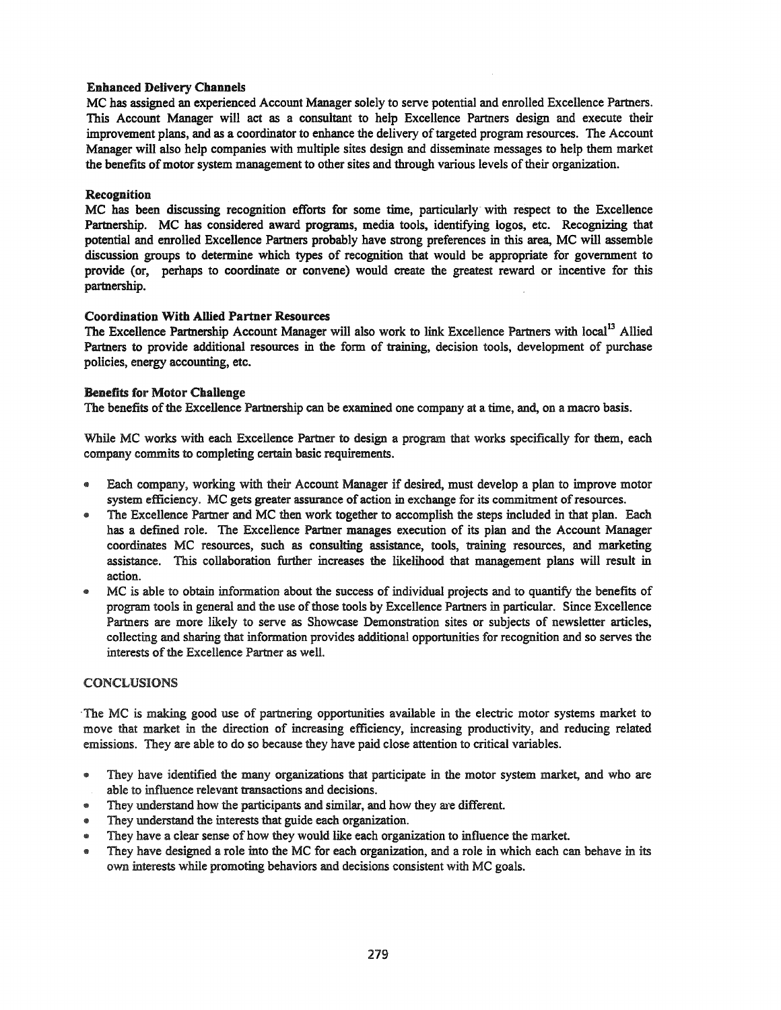## Enbanced Delivery Cbannels

MC bas assigned an experienced Account Manager solely to serve potential and enrolled Excellence Partners. This Account Manager will act as a consultant to help Excellence Partners design and execute their improvement plans, and as a coordinator to enhance the delivery of targeted program resources. The Account Manager will also help companies with multiple sites design and disseminate messages to help them market the benefits of motor system management to other sites and through various levels of their organization.

## Recognition

MC has been discussing recognition efforts for some time, particularly with respect to the Excellence Partnership. MC has considered award programs, media tools, identifying logos, etc. Recognizing that potential and enrolled Excellence Partners probably have strong preferences in this area, MC will assemble discussion groups to determine which types of recognition that would be appropriate for government to provide (or, perhaps to coordinate or convene) would create the greatest reward or incentive for this partnership.

## Coordination Witb Allied Partner Resources

The Excellence Partnership Account Manager will also work to link Excellence Partners with local<sup>13</sup> Allied Partners to provide additional resources in the form of training, decision tools, development of purchase policies, energy accounting, etc.

## Benefits for Motor Challenge

The benefits of the Excellence Partnership can be examined one company at a time, and, on a macro basis.

While MC works with each Excellence Partner to design a program that works specifically for them, each company commits to completing certain basic requirements.

- .. Each company, working with their Account Manager if desired, must develop a plan to improve motor system efficiency. MC gets greater assurance of action in exchange for its commitment ofresources.
- .. The Excellence Partner and MC then work together to accomplish the steps included in that plan. Each has a defined role. The Excellence Partner manages execution of its plan and the Account Manager coordinates MC resources, such as consulting assistance, tools, training resources, and marketing assistance. This collaboration further increases the likelihood that management plans will result in action.
- .. MC is able to obtain information about the success of individual projects and to quantify the benefits of program tools in general and the use of those tools by Excellence Partners in particular. Since Excellence Partners are more likely to serve as Showcase Demonstration sites or subjects of newsletter articles, collecting and sharing that information provides additional opportunities for recognition and so serves the interests of the Excellence Partner as well.

## **CONCLUSIONS**

'The MC is making good use of partnering opportunities available in the electric motor systems market to move that market in the direction of increasing efficiency, increasing productivity, and reducing related emissions. They are able to do so because they have paid close attention to critical variables.

- @ They have identified the many organizations that participate in the motor system market, and who are able to influence relevant transactions and decisions.
- @ They understand how the participants and similar, and how they are different.
- They understand the interests that guide each organization.
- They have a clear sense of how they would like each organization to influence the market.
- @ They have designed a role into the MC for each organization, and a role in which each can behave in its own interests while promoting behaviors and decisions consistent with MC goals.